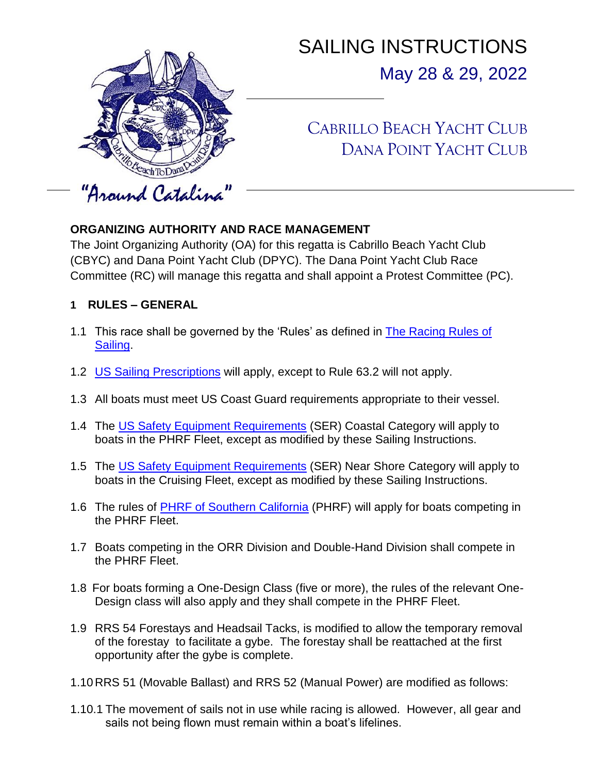

# SAILING INSTRUCTIONS May 28 & 29, 2022

## CABRILLO BEACH YACHT CLUB DANA POINT YACHT CLUB

## **ORGANIZING AUTHORITY AND RACE MANAGEMENT**

The Joint Organizing Authority (OA) for this regatta is Cabrillo Beach Yacht Club (CBYC) and Dana Point Yacht Club (DPYC). The Dana Point Yacht Club Race Committee (RC) will manage this regatta and shall appoint a Protest Committee (PC).

- **1 RULES – GENERAL**
- 1.1 This race shall be governed by the 'Rules' as defined in [The Racing Rules of](https://www.sailing.org/documents/index.php)  [Sailing.](https://www.sailing.org/documents/index.php)
- 1.2 [US Sailing Prescriptions](https://cdn.ussailing.org/wp-content/uploads/2018/01/2021-2024-US-Prescriptions-Final.pdf) will apply, except to Rule 63.2 will not apply.
- 1.3 All boats must meet US Coast Guard requirements appropriate to their vessel.
- 1.4 The [US Safety Equipment Requirements](https://www.ussailing.org/competition/offshore/safety-information/ser-world-sailing-special-regulations/) (SER) Coastal Category will apply to boats in the PHRF Fleet, except as modified by these Sailing Instructions.
- 1.5 The [US Safety Equipment Requirements](https://www.ussailing.org/competition/offshore/safety-information/ser-world-sailing-special-regulations/) (SER) Near Shore Category will apply to boats in the Cruising Fleet, except as modified by these Sailing Instructions.
- 1.6 The rules of [PHRF of Southern California](https://phrfsocal.org/) (PHRF) will apply for boats competing in the PHRF Fleet.
- 1.7 Boats competing in the ORR Division and Double-Hand Division shall compete in the PHRF Fleet.
- 1.8 For boats forming a One-Design Class (five or more), the rules of the relevant One-Design class will also apply and they shall compete in the PHRF Fleet.
- 1.9 RRS 54 Forestays and Headsail Tacks, is modified to allow the temporary removal of the forestay to facilitate a gybe. The forestay shall be reattached at the first opportunity after the gybe is complete.
- 1.10 RRS 51 (Movable Ballast) and RRS 52 (Manual Power) are modified as follows:
- 1.10.1 The movement of sails not in use while racing is allowed. However, all gear and sails not being flown must remain within a boat's lifelines.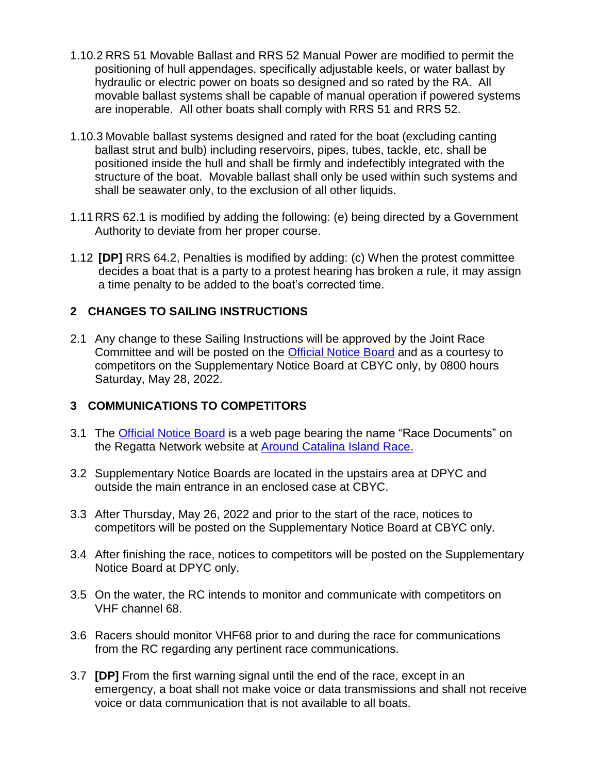- 1.10.2 RRS 51 Movable Ballast and RRS 52 Manual Power are modified to permit the positioning of hull appendages, specifically adjustable keels, or water ballast by hydraulic or electric power on boats so designed and so rated by the RA. All movable ballast systems shall be capable of manual operation if powered systems are inoperable. All other boats shall comply with RRS 51 and RRS 52.
- 1.10.3 Movable ballast systems designed and rated for the boat (excluding canting ballast strut and bulb) including reservoirs, pipes, tubes, tackle, etc. shall be positioned inside the hull and shall be firmly and indefectibly integrated with the structure of the boat. Movable ballast shall only be used within such systems and shall be seawater only, to the exclusion of all other liquids.
- 1.11 RRS 62.1 is modified by adding the following: (e) being directed by a Government Authority to deviate from her proper course.
- 1.12 **[DP]** RRS 64.2, Penalties is modified by adding: (c) When the protest committee decides a boat that is a party to a protest hearing has broken a rule, it may assign a time penalty to be added to the boat's corrected time.

#### **2 CHANGES TO SAILING INSTRUCTIONS**

2.1 Any change to these Sailing Instructions will be approved by the Joint Race Committee and will be posted on the [Official Notice Board](https://www.regattanetwork.com/event/24507#_docs) and as a courtesy to competitors on the Supplementary Notice Board at CBYC only, by 0800 hours Saturday, May 28, 2022.

#### **3 COMMUNICATIONS TO COMPETITORS**

- 3.1 The [Official Notice Board](https://www.regattanetwork.com/event/24507#_docs) is a web page bearing the name "Race Documents" on the Regatta Network website at [Around Catalina Island Race.](https://www.regattanetwork.com/event/24507#_docs)
- 3.2 Supplementary Notice Boards are located in the upstairs area at DPYC and outside the main entrance in an enclosed case at CBYC.
- 3.3 After Thursday, May 26, 2022 and prior to the start of the race, notices to competitors will be posted on the Supplementary Notice Board at CBYC only.
- 3.4 After finishing the race, notices to competitors will be posted on the Supplementary Notice Board at DPYC only.
- 3.5 On the water, the RC intends to monitor and communicate with competitors on VHF channel 68.
- 3.6 Racers should monitor VHF68 prior to and during the race for communications from the RC regarding any pertinent race communications.
- 3.7 **[DP]** From the first warning signal until the end of the race, except in an emergency, a boat shall not make voice or data transmissions and shall not receive voice or data communication that is not available to all boats.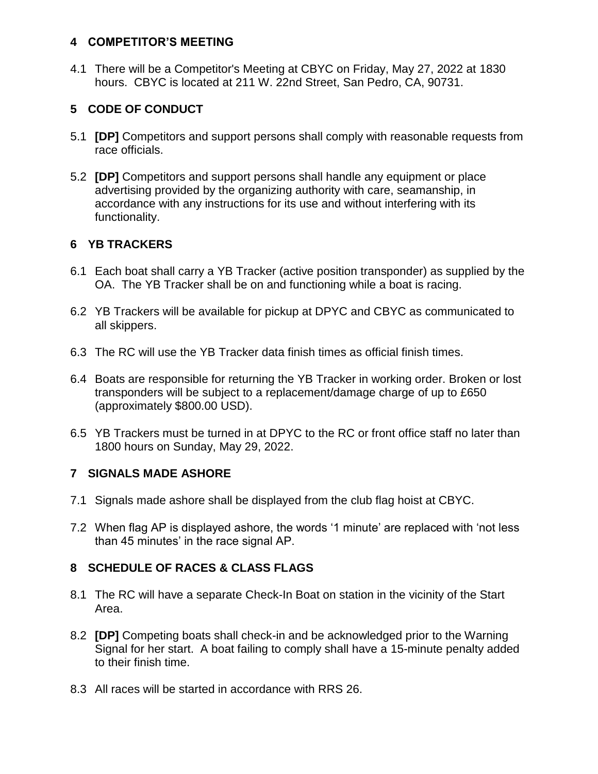#### **4 COMPETITOR'S MEETING**

4.1 There will be a Competitor's Meeting at CBYC on Friday, May 27, 2022 at 1830 hours. CBYC is located at 211 W. 22nd Street, San Pedro, CA, 90731.

## **5 CODE OF CONDUCT**

- 5.1 **[DP]** Competitors and support persons shall comply with reasonable requests from race officials.
- 5.2 **[DP]** Competitors and support persons shall handle any equipment or place advertising provided by the organizing authority with care, seamanship, in accordance with any instructions for its use and without interfering with its functionality.

#### **6 YB TRACKERS**

- 6.1 Each boat shall carry a YB Tracker (active position transponder) as supplied by the OA. The YB Tracker shall be on and functioning while a boat is racing.
- 6.2 YB Trackers will be available for pickup at DPYC and CBYC as communicated to all skippers.
- 6.3 The RC will use the YB Tracker data finish times as official finish times.
- 6.4 Boats are responsible for returning the YB Tracker in working order. Broken or lost transponders will be subject to a replacement/damage charge of up to £650 (approximately \$800.00 USD).
- 6.5 YB Trackers must be turned in at DPYC to the RC or front office staff no later than 1800 hours on Sunday, May 29, 2022.

#### **7 SIGNALS MADE ASHORE**

- 7.1 Signals made ashore shall be displayed from the club flag hoist at CBYC.
- 7.2 When flag AP is displayed ashore, the words '1 minute' are replaced with 'not less than 45 minutes' in the race signal AP.

#### **8 SCHEDULE OF RACES & CLASS FLAGS**

- 8.1 The RC will have a separate Check-In Boat on station in the vicinity of the Start Area.
- 8.2 **[DP]** Competing boats shall check-in and be acknowledged prior to the Warning Signal for her start. A boat failing to comply shall have a 15-minute penalty added to their finish time.
- 8.3 All races will be started in accordance with RRS 26.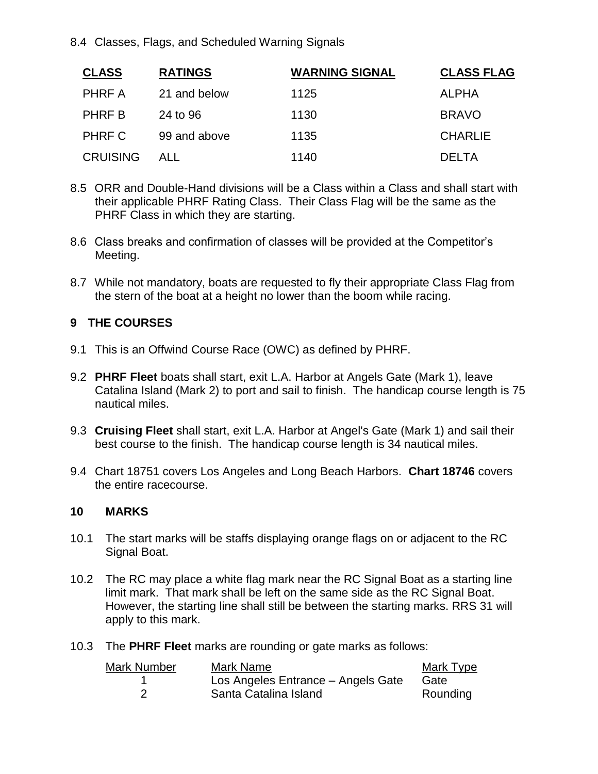8.4 Classes, Flags, and Scheduled Warning Signals

| <b>CLASS</b>    | <b>RATINGS</b> | <b>WARNING SIGNAL</b> | <b>CLASS FLAG</b> |
|-----------------|----------------|-----------------------|-------------------|
| PHRF A          | 21 and below   | 1125                  | ALPHA             |
| PHRF B          | 24 to 96       | 1130                  | <b>BRAVO</b>      |
| PHRF C          | 99 and above   | 1135                  | <b>CHARLIE</b>    |
| <b>CRUISING</b> | ALL            | 1140                  | DEI TA            |

- 8.5 ORR and Double-Hand divisions will be a Class within a Class and shall start with their applicable PHRF Rating Class. Their Class Flag will be the same as the PHRF Class in which they are starting.
- 8.6 Class breaks and confirmation of classes will be provided at the Competitor's Meeting.
- 8.7 While not mandatory, boats are requested to fly their appropriate Class Flag from the stern of the boat at a height no lower than the boom while racing.

#### **9 THE COURSES**

- 9.1 This is an Offwind Course Race (OWC) as defined by PHRF.
- 9.2 **PHRF Fleet** boats shall start, exit L.A. Harbor at Angels Gate (Mark 1), leave Catalina Island (Mark 2) to port and sail to finish. The handicap course length is 75 nautical miles.
- 9.3 **Cruising Fleet** shall start, exit L.A. Harbor at Angel's Gate (Mark 1) and sail their best course to the finish. The handicap course length is 34 nautical miles.
- 9.4 Chart 18751 covers Los Angeles and Long Beach Harbors. **Chart 18746** covers the entire racecourse.

#### **10 MARKS**

- 10.1 The start marks will be staffs displaying orange flags on or adjacent to the RC Signal Boat.
- 10.2 The RC may place a white flag mark near the RC Signal Boat as a starting line limit mark. That mark shall be left on the same side as the RC Signal Boat. However, the starting line shall still be between the starting marks. RRS 31 will apply to this mark.
- 10.3 The **PHRF Fleet** marks are rounding or gate marks as follows:

| Mark Number | Mark Name                          | Mark Type |
|-------------|------------------------------------|-----------|
|             | Los Angeles Entrance - Angels Gate | Gate      |
|             | Santa Catalina Island              | Rounding  |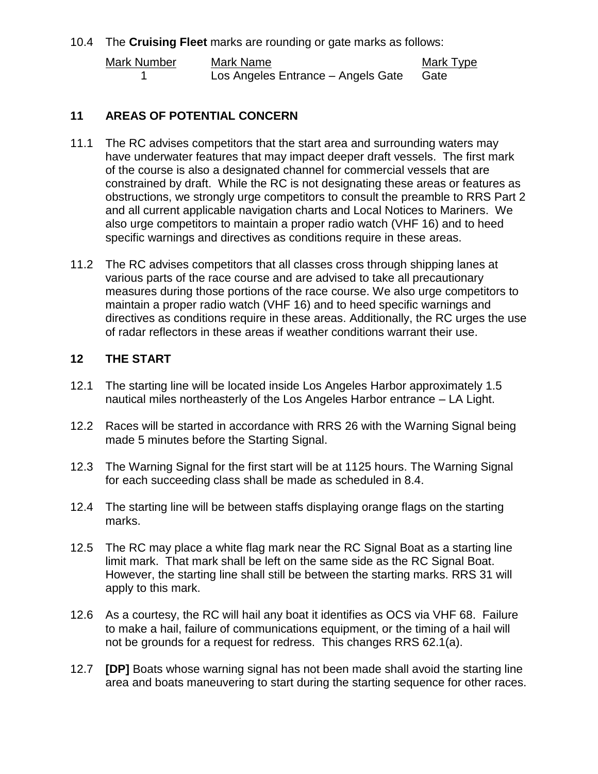10.4 The **Cruising Fleet** marks are rounding or gate marks as follows:

| Mark Number | Mark Name                          | Mark Type |
|-------------|------------------------------------|-----------|
|             | Los Angeles Entrance - Angels Gate | Gate      |

#### **11 AREAS OF POTENTIAL CONCERN**

- 11.1 The RC advises competitors that the start area and surrounding waters may have underwater features that may impact deeper draft vessels. The first mark of the course is also a designated channel for commercial vessels that are constrained by draft. While the RC is not designating these areas or features as obstructions, we strongly urge competitors to consult the preamble to RRS Part 2 and all current applicable navigation charts and Local Notices to Mariners. We also urge competitors to maintain a proper radio watch (VHF 16) and to heed specific warnings and directives as conditions require in these areas.
- 11.2 The RC advises competitors that all classes cross through shipping lanes at various parts of the race course and are advised to take all precautionary measures during those portions of the race course. We also urge competitors to maintain a proper radio watch (VHF 16) and to heed specific warnings and directives as conditions require in these areas. Additionally, the RC urges the use of radar reflectors in these areas if weather conditions warrant their use.

#### **12 THE START**

- 12.1 The starting line will be located inside Los Angeles Harbor approximately 1.5 nautical miles northeasterly of the Los Angeles Harbor entrance – LA Light.
- 12.2 Races will be started in accordance with RRS 26 with the Warning Signal being made 5 minutes before the Starting Signal.
- 12.3 The Warning Signal for the first start will be at 1125 hours. The Warning Signal for each succeeding class shall be made as scheduled in 8.4.
- 12.4 The starting line will be between staffs displaying orange flags on the starting marks.
- 12.5 The RC may place a white flag mark near the RC Signal Boat as a starting line limit mark. That mark shall be left on the same side as the RC Signal Boat. However, the starting line shall still be between the starting marks. RRS 31 will apply to this mark.
- 12.6 As a courtesy, the RC will hail any boat it identifies as OCS via VHF 68. Failure to make a hail, failure of communications equipment, or the timing of a hail will not be grounds for a request for redress. This changes RRS 62.1(a).
- 12.7 **[DP]** Boats whose warning signal has not been made shall avoid the starting line area and boats maneuvering to start during the starting sequence for other races.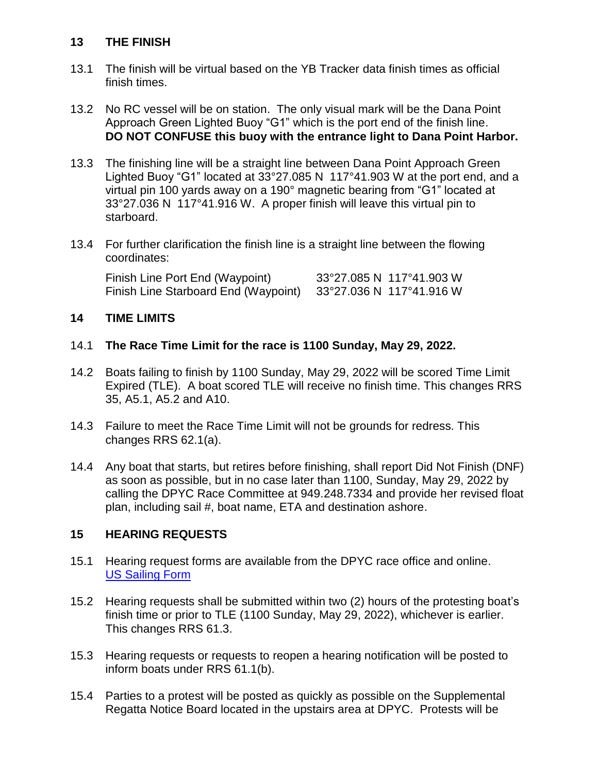#### **13 THE FINISH**

- 13.1 The finish will be virtual based on the YB Tracker data finish times as official finish times.
- 13.2 No RC vessel will be on station. The only visual mark will be the Dana Point Approach Green Lighted Buoy "G1" which is the port end of the finish line. **DO NOT CONFUSE this buoy with the entrance light to Dana Point Harbor.**
- 13.3 The finishing line will be a straight line between Dana Point Approach Green Lighted Buoy "G1" located at 33°27.085 N 117°41.903 W at the port end, and a virtual pin 100 yards away on a 190° magnetic bearing from "G1" located at 33°27.036 N 117°41.916 W. A proper finish will leave this virtual pin to starboard.
- 13.4 For further clarification the finish line is a straight line between the flowing coordinates:

Finish Line Port End (Waypoint) 33°27.085 N 117°41.903 W Finish Line Starboard End (Waypoint) 33°27.036 N 117°41.916 W

#### **14 TIME LIMITS**

#### 14.1 **The Race Time Limit for the race is 1100 Sunday, May 29, 2022.**

- 14.2 Boats failing to finish by 1100 Sunday, May 29, 2022 will be scored Time Limit Expired (TLE). A boat scored TLE will receive no finish time. This changes RRS 35, A5.1, A5.2 and A10.
- 14.3 Failure to meet the Race Time Limit will not be grounds for redress. This changes RRS 62.1(a).
- 14.4 Any boat that starts, but retires before finishing, shall report Did Not Finish (DNF) as soon as possible, but in no case later than 1100, Sunday, May 29, 2022 by calling the DPYC Race Committee at 949.248.7334 and provide her revised float plan, including sail #, boat name, ETA and destination ashore.

#### **15 HEARING REQUESTS**

- 15.1 Hearing request forms are available from the DPYC race office and online. [US Sailing Form](https://cdn.ussailing.org/wp-content/uploads/2021/03/US_Sailing_Hearing_Request_Form_20210301_Fillable.pdf)
- 15.2 Hearing requests shall be submitted within two (2) hours of the protesting boat's finish time or prior to TLE (1100 Sunday, May 29, 2022), whichever is earlier. This changes RRS 61.3.
- 15.3 Hearing requests or requests to reopen a hearing notification will be posted to inform boats under RRS 61.1(b).
- 15.4 Parties to a protest will be posted as quickly as possible on the Supplemental Regatta Notice Board located in the upstairs area at DPYC. Protests will be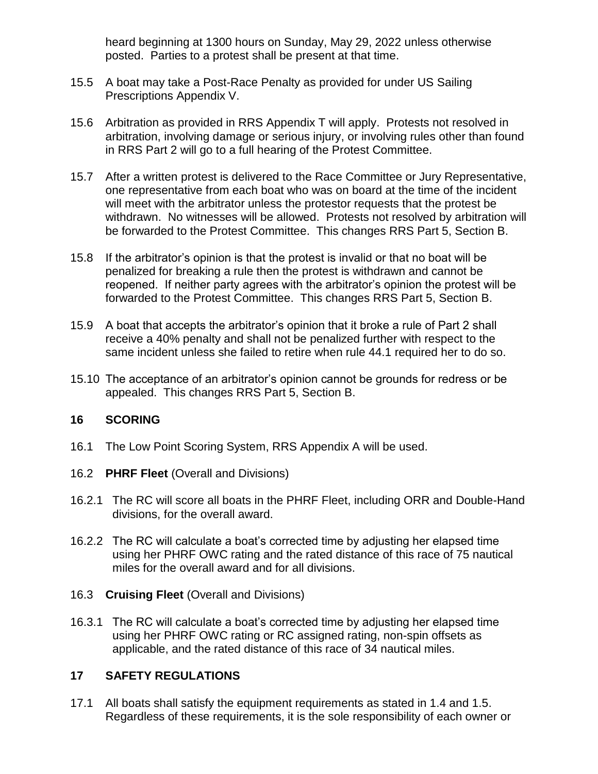heard beginning at 1300 hours on Sunday, May 29, 2022 unless otherwise posted. Parties to a protest shall be present at that time.

- 15.5 A boat may take a Post-Race Penalty as provided for under US Sailing Prescriptions Appendix V.
- 15.6 Arbitration as provided in RRS Appendix T will apply. Protests not resolved in arbitration, involving damage or serious injury, or involving rules other than found in RRS Part 2 will go to a full hearing of the Protest Committee.
- 15.7 After a written protest is delivered to the Race Committee or Jury Representative, one representative from each boat who was on board at the time of the incident will meet with the arbitrator unless the protestor requests that the protest be withdrawn. No witnesses will be allowed. Protests not resolved by arbitration will be forwarded to the Protest Committee. This changes RRS Part 5, Section B.
- 15.8 If the arbitrator's opinion is that the protest is invalid or that no boat will be penalized for breaking a rule then the protest is withdrawn and cannot be reopened. If neither party agrees with the arbitrator's opinion the protest will be forwarded to the Protest Committee. This changes RRS Part 5, Section B.
- 15.9 A boat that accepts the arbitrator's opinion that it broke a rule of Part 2 shall receive a 40% penalty and shall not be penalized further with respect to the same incident unless she failed to retire when rule 44.1 required her to do so.
- 15.10 The acceptance of an arbitrator's opinion cannot be grounds for redress or be appealed. This changes RRS Part 5, Section B.

#### **16 SCORING**

- 16.1 The Low Point Scoring System, RRS Appendix A will be used.
- 16.2 **PHRF Fleet** (Overall and Divisions)
- 16.2.1 The RC will score all boats in the PHRF Fleet, including ORR and Double-Hand divisions, for the overall award.
- 16.2.2 The RC will calculate a boat's corrected time by adjusting her elapsed time using her PHRF OWC rating and the rated distance of this race of 75 nautical miles for the overall award and for all divisions.

#### 16.3 **Cruising Fleet** (Overall and Divisions)

16.3.1 The RC will calculate a boat's corrected time by adjusting her elapsed time using her PHRF OWC rating or RC assigned rating, non-spin offsets as applicable, and the rated distance of this race of 34 nautical miles.

#### **17 SAFETY REGULATIONS**

17.1 All boats shall satisfy the equipment requirements as stated in 1.4 and 1.5. Regardless of these requirements, it is the sole responsibility of each owner or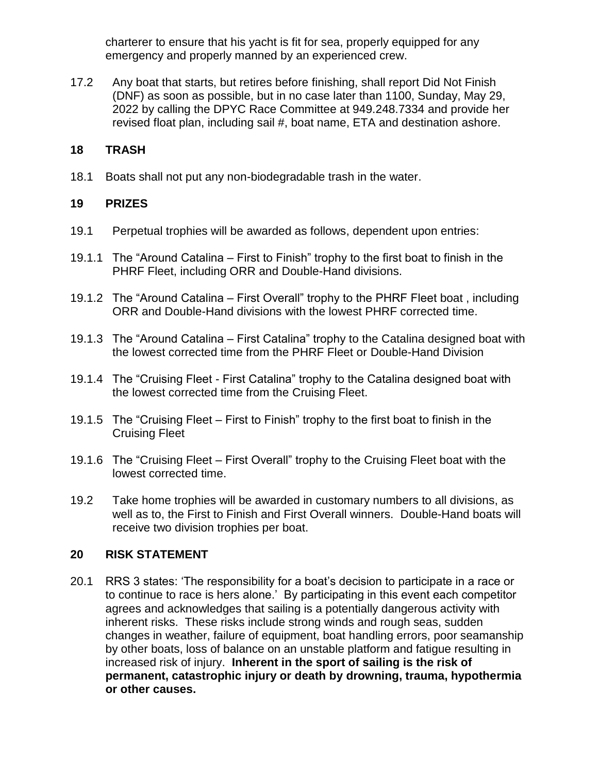charterer to ensure that his yacht is fit for sea, properly equipped for any emergency and properly manned by an experienced crew.

17.2 Any boat that starts, but retires before finishing, shall report Did Not Finish (DNF) as soon as possible, but in no case later than 1100, Sunday, May 29, 2022 by calling the DPYC Race Committee at 949.248.7334 and provide her revised float plan, including sail #, boat name, ETA and destination ashore.

#### **18 TRASH**

18.1 Boats shall not put any non-biodegradable trash in the water.

#### **19 PRIZES**

- 19.1 Perpetual trophies will be awarded as follows, dependent upon entries:
- 19.1.1 The "Around Catalina First to Finish" trophy to the first boat to finish in the PHRF Fleet, including ORR and Double-Hand divisions.
- 19.1.2 The "Around Catalina First Overall" trophy to the PHRF Fleet boat , including ORR and Double-Hand divisions with the lowest PHRF corrected time.
- 19.1.3 The "Around Catalina First Catalina" trophy to the Catalina designed boat with the lowest corrected time from the PHRF Fleet or Double-Hand Division
- 19.1.4 The "Cruising Fleet First Catalina" trophy to the Catalina designed boat with the lowest corrected time from the Cruising Fleet.
- 19.1.5 The "Cruising Fleet First to Finish" trophy to the first boat to finish in the Cruising Fleet
- 19.1.6 The "Cruising Fleet First Overall" trophy to the Cruising Fleet boat with the lowest corrected time.
- 19.2 Take home trophies will be awarded in customary numbers to all divisions, as well as to, the First to Finish and First Overall winners. Double-Hand boats will receive two division trophies per boat.

#### **20 RISK STATEMENT**

20.1 RRS 3 states: 'The responsibility for a boat's decision to participate in a race or to continue to race is hers alone.' By participating in this event each competitor agrees and acknowledges that sailing is a potentially dangerous activity with inherent risks. These risks include strong winds and rough seas, sudden changes in weather, failure of equipment, boat handling errors, poor seamanship by other boats, loss of balance on an unstable platform and fatigue resulting in increased risk of injury. **Inherent in the sport of sailing is the risk of permanent, catastrophic injury or death by drowning, trauma, hypothermia or other causes.**